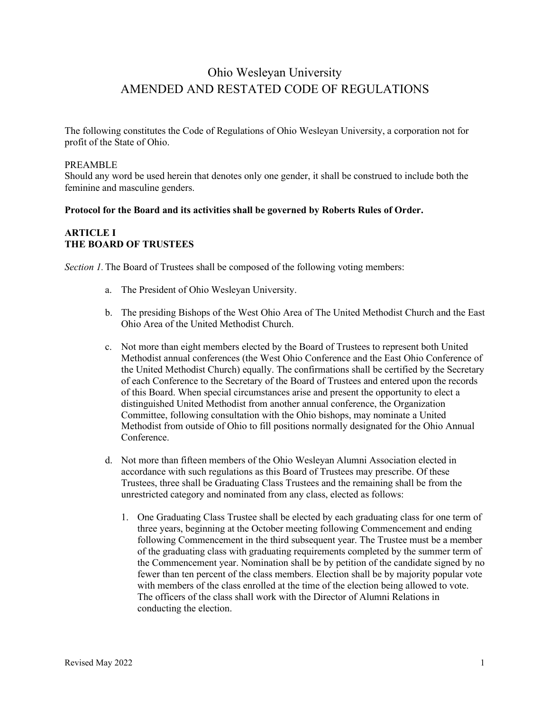# Ohio Wesleyan University AMENDED AND RESTATED CODE OF REGULATIONS

The following constitutes the Code of Regulations of Ohio Wesleyan University, a corporation not for profit of the State of Ohio.

#### PREAMBLE

Should any word be used herein that denotes only one gender, it shall be construed to include both the feminine and masculine genders.

# **Protocol for the Board and its activities shall be governed by Roberts Rules of Order.**

# **ARTICLE I THE BOARD OF TRUSTEES**

*Section 1.*The Board of Trustees shall be composed of the following voting members:

- a. The President of Ohio Wesleyan University.
- b. The presiding Bishops of the West Ohio Area of The United Methodist Church and the East Ohio Area of the United Methodist Church.
- c. Not more than eight members elected by the Board of Trustees to represent both United Methodist annual conferences (the West Ohio Conference and the East Ohio Conference of the United Methodist Church) equally. The confirmations shall be certified by the Secretary of each Conference to the Secretary of the Board of Trustees and entered upon the records of this Board. When special circumstances arise and present the opportunity to elect a distinguished United Methodist from another annual conference, the Organization Committee, following consultation with the Ohio bishops, may nominate a United Methodist from outside of Ohio to fill positions normally designated for the Ohio Annual Conference.
- d. Not more than fifteen members of the Ohio Wesleyan Alumni Association elected in accordance with such regulations as this Board of Trustees may prescribe. Of these Trustees, three shall be Graduating Class Trustees and the remaining shall be from the unrestricted category and nominated from any class, elected as follows:
	- 1. One Graduating Class Trustee shall be elected by each graduating class for one term of three years, beginning at the October meeting following Commencement and ending following Commencement in the third subsequent year. The Trustee must be a member of the graduating class with graduating requirements completed by the summer term of the Commencement year. Nomination shall be by petition of the candidate signed by no fewer than ten percent of the class members. Election shall be by majority popular vote with members of the class enrolled at the time of the election being allowed to vote. The officers of the class shall work with the Director of Alumni Relations in conducting the election.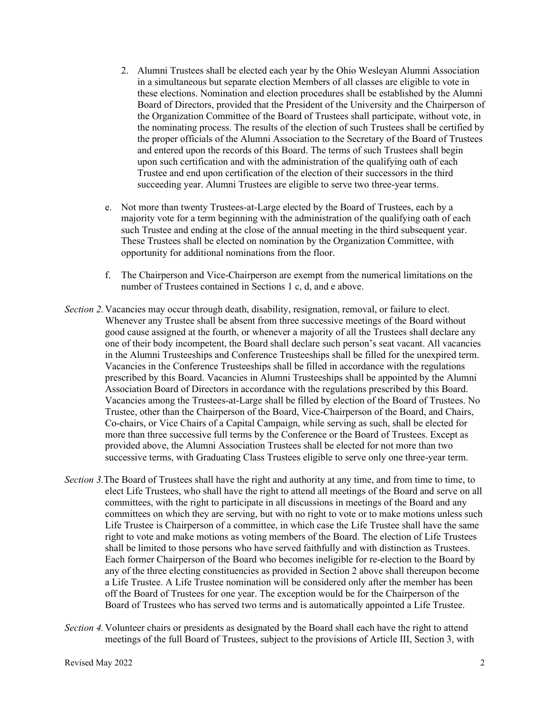- 2. Alumni Trustees shall be elected each year by the Ohio Wesleyan Alumni Association in a simultaneous but separate election Members of all classes are eligible to vote in these elections. Nomination and election procedures shall be established by the Alumni Board of Directors, provided that the President of the University and the Chairperson of the Organization Committee of the Board of Trustees shall participate, without vote, in the nominating process. The results of the election of such Trustees shall be certified by the proper officials of the Alumni Association to the Secretary of the Board of Trustees and entered upon the records of this Board. The terms of such Trustees shall begin upon such certification and with the administration of the qualifying oath of each Trustee and end upon certification of the election of their successors in the third succeeding year. Alumni Trustees are eligible to serve two three-year terms.
- e. Not more than twenty Trustees-at-Large elected by the Board of Trustees, each by a majority vote for a term beginning with the administration of the qualifying oath of each such Trustee and ending at the close of the annual meeting in the third subsequent year. These Trustees shall be elected on nomination by the Organization Committee, with opportunity for additional nominations from the floor.
- f. The Chairperson and Vice-Chairperson are exempt from the numerical limitations on the number of Trustees contained in Sections 1 c, d, and e above.
- *Section 2.* Vacancies may occur through death, disability, resignation, removal, or failure to elect. Whenever any Trustee shall be absent from three successive meetings of the Board without good cause assigned at the fourth, or whenever a majority of all the Trustees shall declare any one of their body incompetent, the Board shall declare such person's seat vacant. All vacancies in the Alumni Trusteeships and Conference Trusteeships shall be filled for the unexpired term. Vacancies in the Conference Trusteeships shall be filled in accordance with the regulations prescribed by this Board. Vacancies in Alumni Trusteeships shall be appointed by the Alumni Association Board of Directors in accordance with the regulations prescribed by this Board. Vacancies among the Trustees-at-Large shall be filled by election of the Board of Trustees. No Trustee, other than the Chairperson of the Board, Vice-Chairperson of the Board, and Chairs, Co-chairs, or Vice Chairs of a Capital Campaign, while serving as such, shall be elected for more than three successive full terms by the Conference or the Board of Trustees. Except as provided above, the Alumni Association Trustees shall be elected for not more than two successive terms, with Graduating Class Trustees eligible to serve only one three-year term.
- *Section 3.*The Board of Trustees shall have the right and authority at any time, and from time to time, to elect Life Trustees, who shall have the right to attend all meetings of the Board and serve on all committees, with the right to participate in all discussions in meetings of the Board and any committees on which they are serving, but with no right to vote or to make motions unless such Life Trustee is Chairperson of a committee, in which case the Life Trustee shall have the same right to vote and make motions as voting members of the Board. The election of Life Trustees shall be limited to those persons who have served faithfully and with distinction as Trustees. Each former Chairperson of the Board who becomes ineligible for re-election to the Board by any of the three electing constituencies as provided in Section 2 above shall thereupon become a Life Trustee. A Life Trustee nomination will be considered only after the member has been off the Board of Trustees for one year. The exception would be for the Chairperson of the Board of Trustees who has served two terms and is automatically appointed a Life Trustee.
- *Section 4.*Volunteer chairs or presidents as designated by the Board shall each have the right to attend meetings of the full Board of Trustees, subject to the provisions of Article III, Section 3, with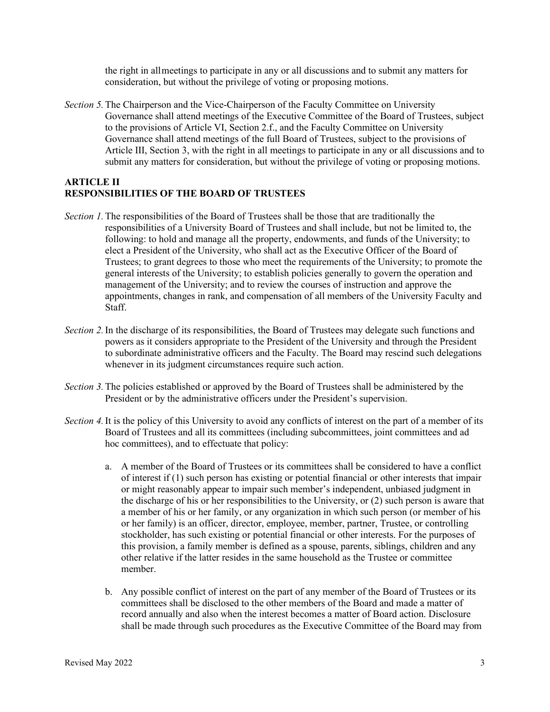the right in allmeetings to participate in any or all discussions and to submit any matters for consideration, but without the privilege of voting or proposing motions.

*Section 5.*The Chairperson and the Vice-Chairperson of the Faculty Committee on University Governance shall attend meetings of the Executive Committee of the Board of Trustees, subject to the provisions of Article VI, Section 2.f., and the Faculty Committee on University Governance shall attend meetings of the full Board of Trustees, subject to the provisions of Article III, Section 3, with the right in all meetings to participate in any or all discussions and to submit any matters for consideration, but without the privilege of voting or proposing motions.

#### **ARTICLE II RESPONSIBILITIES OF THE BOARD OF TRUSTEES**

- *Section 1.*The responsibilities of the Board of Trustees shall be those that are traditionally the responsibilities of a University Board of Trustees and shall include, but not be limited to, the following: to hold and manage all the property, endowments, and funds of the University; to elect a President of the University, who shall act as the Executive Officer of the Board of Trustees; to grant degrees to those who meet the requirements of the University; to promote the general interests of the University; to establish policies generally to govern the operation and management of the University; and to review the courses of instruction and approve the appointments, changes in rank, and compensation of all members of the University Faculty and Staff.
- *Section 2.*In the discharge of its responsibilities, the Board of Trustees may delegate such functions and powers as it considers appropriate to the President of the University and through the President to subordinate administrative officers and the Faculty. The Board may rescind such delegations whenever in its judgment circumstances require such action.
- *Section 3.*The policies established or approved by the Board of Trustees shall be administered by the President or by the administrative officers under the President's supervision.
- *Section 4.*It is the policy of this University to avoid any conflicts of interest on the part of a member of its Board of Trustees and all its committees (including subcommittees, joint committees and ad hoc committees), and to effectuate that policy:
	- a. A member of the Board of Trustees or its committees shall be considered to have a conflict of interest if (1) such person has existing or potential financial or other interests that impair or might reasonably appear to impair such member's independent, unbiased judgment in the discharge of his or her responsibilities to the University, or (2) such person is aware that a member of his or her family, or any organization in which such person (or member of his or her family) is an officer, director, employee, member, partner, Trustee, or controlling stockholder, has such existing or potential financial or other interests. For the purposes of this provision, a family member is defined as a spouse, parents, siblings, children and any other relative if the latter resides in the same household as the Trustee or committee member.
	- b. Any possible conflict of interest on the part of any member of the Board of Trustees or its committees shall be disclosed to the other members of the Board and made a matter of record annually and also when the interest becomes a matter of Board action. Disclosure shall be made through such procedures as the Executive Committee of the Board may from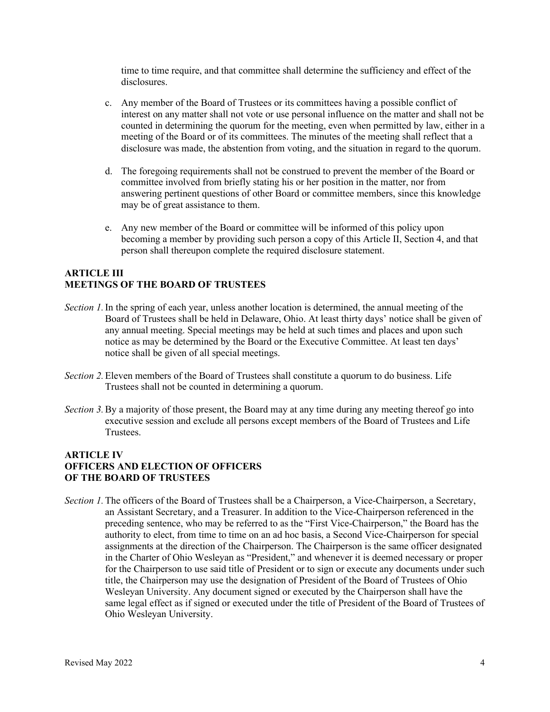time to time require, and that committee shall determine the sufficiency and effect of the disclosures.

- c. Any member of the Board of Trustees or its committees having a possible conflict of interest on any matter shall not vote or use personal influence on the matter and shall not be counted in determining the quorum for the meeting, even when permitted by law, either in a meeting of the Board or of its committees. The minutes of the meeting shall reflect that a disclosure was made, the abstention from voting, and the situation in regard to the quorum.
- d. The foregoing requirements shall not be construed to prevent the member of the Board or committee involved from briefly stating his or her position in the matter, nor from answering pertinent questions of other Board or committee members, since this knowledge may be of great assistance to them.
- e. Any new member of the Board or committee will be informed of this policy upon becoming a member by providing such person a copy of this Article II, Section 4, and that person shall thereupon complete the required disclosure statement.

# **ARTICLE III MEETINGS OF THE BOARD OF TRUSTEES**

- *Section 1.* In the spring of each year, unless another location is determined, the annual meeting of the Board of Trustees shall be held in Delaware, Ohio. At least thirty days' notice shall be given of any annual meeting. Special meetings may be held at such times and places and upon such notice as may be determined by the Board or the Executive Committee. At least ten days' notice shall be given of all special meetings.
- *Section 2.*Eleven members of the Board of Trustees shall constitute a quorum to do business. Life Trustees shall not be counted in determining a quorum.
- *Section 3.*By a majority of those present, the Board may at any time during any meeting thereof go into executive session and exclude all persons except members of the Board of Trustees and Life Trustees.

# **ARTICLE IV OFFICERS AND ELECTION OF OFFICERS OF THE BOARD OF TRUSTEES**

*Section 1*. The officers of the Board of Trustees shall be a Chairperson, a Vice-Chairperson, a Secretary, an Assistant Secretary, and a Treasurer. In addition to the Vice-Chairperson referenced in the preceding sentence, who may be referred to as the "First Vice-Chairperson," the Board has the authority to elect, from time to time on an ad hoc basis, a Second Vice-Chairperson for special assignments at the direction of the Chairperson. The Chairperson is the same officer designated in the Charter of Ohio Wesleyan as "President," and whenever it is deemed necessary or proper for the Chairperson to use said title of President or to sign or execute any documents under such title, the Chairperson may use the designation of President of the Board of Trustees of Ohio Wesleyan University. Any document signed or executed by the Chairperson shall have the same legal effect as if signed or executed under the title of President of the Board of Trustees of Ohio Wesleyan University.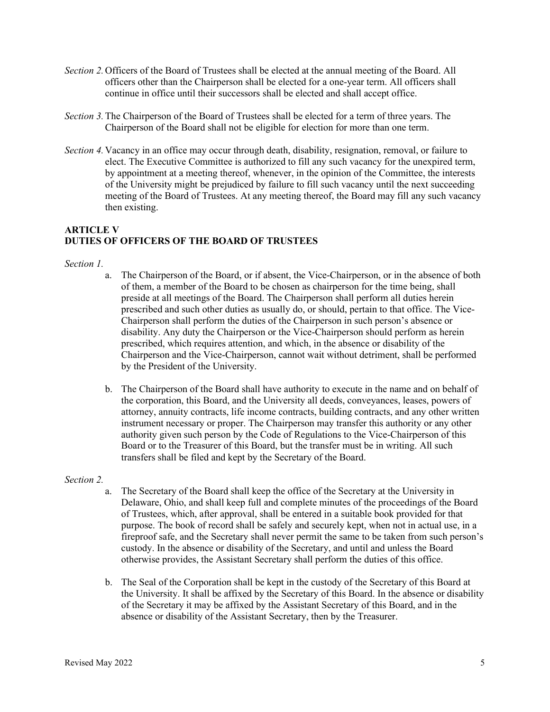- *Section 2.*Officers of the Board of Trustees shall be elected at the annual meeting of the Board. All officers other than the Chairperson shall be elected for a one-year term. All officers shall continue in office until their successors shall be elected and shall accept office.
- *Section 3.*The Chairperson of the Board of Trustees shall be elected for a term of three years. The Chairperson of the Board shall not be eligible for election for more than one term.
- *Section 4.*Vacancy in an office may occur through death, disability, resignation, removal, or failure to elect. The Executive Committee is authorized to fill any such vacancy for the unexpired term, by appointment at a meeting thereof, whenever, in the opinion of the Committee, the interests of the University might be prejudiced by failure to fill such vacancy until the next succeeding meeting of the Board of Trustees. At any meeting thereof, the Board may fill any such vacancy then existing.

# **ARTICLE V DUTIES OF OFFICERS OF THE BOARD OF TRUSTEES**

#### *Section 1.*

- a. The Chairperson of the Board, or if absent, the Vice-Chairperson, or in the absence of both of them, a member of the Board to be chosen as chairperson for the time being, shall preside at all meetings of the Board. The Chairperson shall perform all duties herein prescribed and such other duties as usually do, or should, pertain to that office. The Vice-Chairperson shall perform the duties of the Chairperson in such person's absence or disability. Any duty the Chairperson or the Vice-Chairperson should perform as herein prescribed, which requires attention, and which, in the absence or disability of the Chairperson and the Vice-Chairperson, cannot wait without detriment, shall be performed by the President of the University.
- b. The Chairperson of the Board shall have authority to execute in the name and on behalf of the corporation, this Board, and the University all deeds, conveyances, leases, powers of attorney, annuity contracts, life income contracts, building contracts, and any other written instrument necessary or proper. The Chairperson may transfer this authority or any other authority given such person by the Code of Regulations to the Vice-Chairperson of this Board or to the Treasurer of this Board, but the transfer must be in writing. All such transfers shall be filed and kept by the Secretary of the Board.

#### *Section 2.*

- a. The Secretary of the Board shall keep the office of the Secretary at the University in Delaware, Ohio, and shall keep full and complete minutes of the proceedings of the Board of Trustees, which, after approval, shall be entered in a suitable book provided for that purpose. The book of record shall be safely and securely kept, when not in actual use, in a fireproof safe, and the Secretary shall never permit the same to be taken from such person's custody. In the absence or disability of the Secretary, and until and unless the Board otherwise provides, the Assistant Secretary shall perform the duties of this office.
- b. The Seal of the Corporation shall be kept in the custody of the Secretary of this Board at the University. It shall be affixed by the Secretary of this Board. In the absence or disability of the Secretary it may be affixed by the Assistant Secretary of this Board, and in the absence or disability of the Assistant Secretary, then by the Treasurer.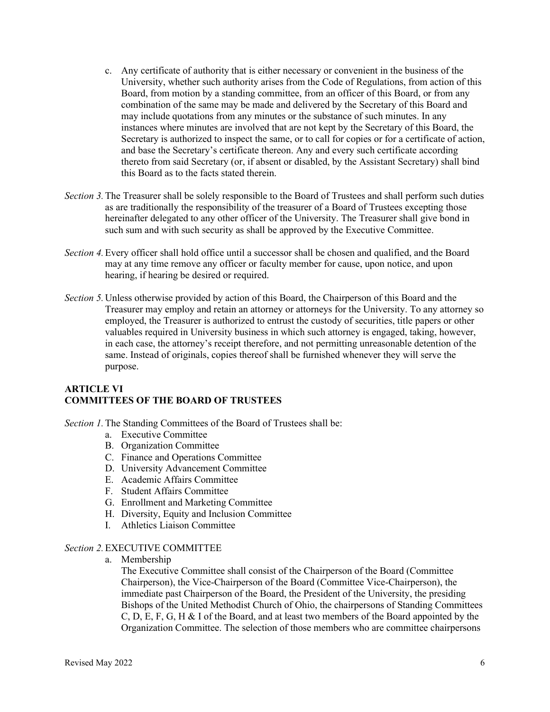- c. Any certificate of authority that is either necessary or convenient in the business of the University, whether such authority arises from the Code of Regulations, from action of this Board, from motion by a standing committee, from an officer of this Board, or from any combination of the same may be made and delivered by the Secretary of this Board and may include quotations from any minutes or the substance of such minutes. In any instances where minutes are involved that are not kept by the Secretary of this Board, the Secretary is authorized to inspect the same, or to call for copies or for a certificate of action, and base the Secretary's certificate thereon. Any and every such certificate according thereto from said Secretary (or, if absent or disabled, by the Assistant Secretary) shall bind this Board as to the facts stated therein.
- *Section 3.*The Treasurer shall be solely responsible to the Board of Trustees and shall perform such duties as are traditionally the responsibility of the treasurer of a Board of Trustees excepting those hereinafter delegated to any other officer of the University. The Treasurer shall give bond in such sum and with such security as shall be approved by the Executive Committee.
- *Section 4.*Every officer shall hold office until a successor shall be chosen and qualified, and the Board may at any time remove any officer or faculty member for cause, upon notice, and upon hearing, if hearing be desired or required.
- *Section 5.*Unless otherwise provided by action of this Board, the Chairperson of this Board and the Treasurer may employ and retain an attorney or attorneys for the University. To any attorney so employed, the Treasurer is authorized to entrust the custody of securities, title papers or other valuables required in University business in which such attorney is engaged, taking, however, in each case, the attorney's receipt therefore, and not permitting unreasonable detention of the same. Instead of originals, copies thereof shall be furnished whenever they will serve the purpose.

# **ARTICLE VI COMMITTEES OF THE BOARD OF TRUSTEES**

- *Section 1.*The Standing Committees of the Board of Trustees shall be:
	- a. Executive Committee
	- B. Organization Committee
	- C. Finance and Operations Committee
	- D. University Advancement Committee
	- E. Academic Affairs Committee
	- F. Student Affairs Committee
	- G. Enrollment and Marketing Committee
	- H. Diversity, Equity and Inclusion Committee
	- I. Athletics Liaison Committee

# *Section 2.*EXECUTIVE COMMITTEE

a. Membership

The Executive Committee shall consist of the Chairperson of the Board (Committee Chairperson), the Vice-Chairperson of the Board (Committee Vice-Chairperson), the immediate past Chairperson of the Board, the President of the University, the presiding Bishops of the United Methodist Church of Ohio, the chairpersons of Standing Committees C, D, E, F, G, H & I of the Board, and at least two members of the Board appointed by the Organization Committee. The selection of those members who are committee chairpersons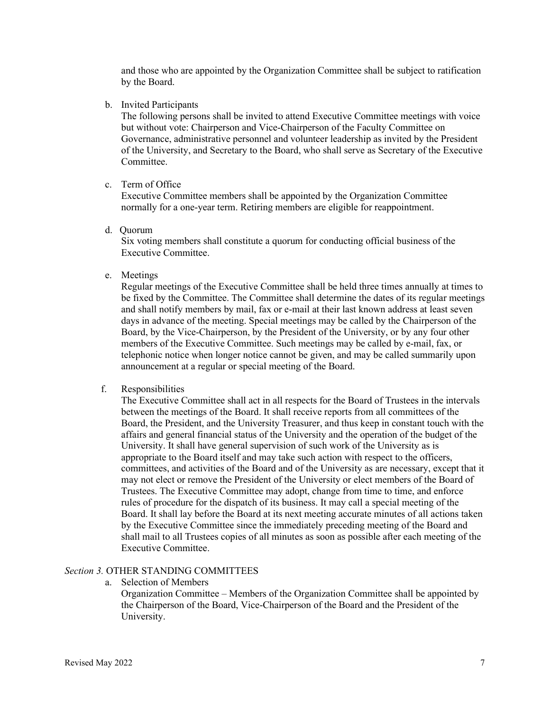and those who are appointed by the Organization Committee shall be subject to ratification by the Board.

b. Invited Participants

The following persons shall be invited to attend Executive Committee meetings with voice but without vote: Chairperson and Vice-Chairperson of the Faculty Committee on Governance, administrative personnel and volunteer leadership as invited by the President of the University, and Secretary to the Board, who shall serve as Secretary of the Executive Committee.

c. Term of Office

Executive Committee members shall be appointed by the Organization Committee normally for a one-year term. Retiring members are eligible for reappointment.

d. Quorum

Six voting members shall constitute a quorum for conducting official business of the Executive Committee.

e. Meetings

Regular meetings of the Executive Committee shall be held three times annually at times to be fixed by the Committee. The Committee shall determine the dates of its regular meetings and shall notify members by mail, fax or e-mail at their last known address at least seven days in advance of the meeting. Special meetings may be called by the Chairperson of the Board, by the Vice-Chairperson, by the President of the University, or by any four other members of the Executive Committee. Such meetings may be called by e-mail, fax, or telephonic notice when longer notice cannot be given, and may be called summarily upon announcement at a regular or special meeting of the Board.

f. Responsibilities

The Executive Committee shall act in all respects for the Board of Trustees in the intervals between the meetings of the Board. It shall receive reports from all committees of the Board, the President, and the University Treasurer, and thus keep in constant touch with the affairs and general financial status of the University and the operation of the budget of the University. It shall have general supervision of such work of the University as is appropriate to the Board itself and may take such action with respect to the officers, committees, and activities of the Board and of the University as are necessary, except that it may not elect or remove the President of the University or elect members of the Board of Trustees. The Executive Committee may adopt, change from time to time, and enforce rules of procedure for the dispatch of its business. It may call a special meeting of the Board. It shall lay before the Board at its next meeting accurate minutes of all actions taken by the Executive Committee since the immediately preceding meeting of the Board and shall mail to all Trustees copies of all minutes as soon as possible after each meeting of the Executive Committee.

# *Section 3.* OTHER STANDING COMMITTEES

a. Selection of Members

Organization Committee – Members of the Organization Committee shall be appointed by the Chairperson of the Board, Vice-Chairperson of the Board and the President of the University.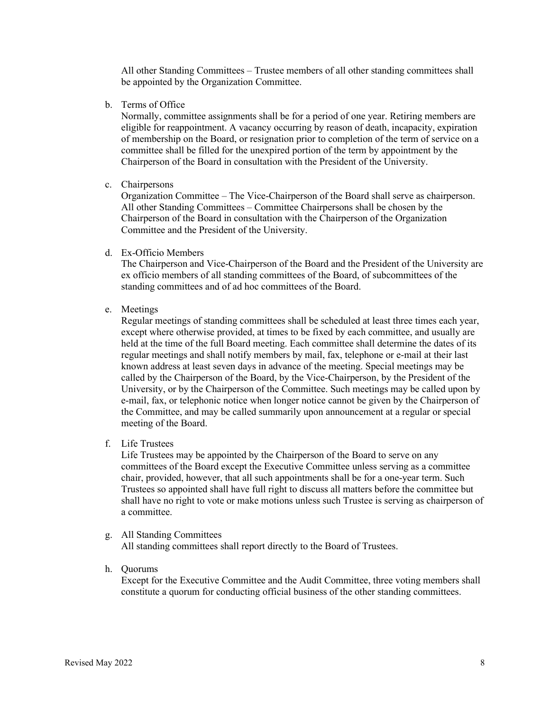All other Standing Committees – Trustee members of all other standing committees shall be appointed by the Organization Committee.

b. Terms of Office

Normally, committee assignments shall be for a period of one year. Retiring members are eligible for reappointment. A vacancy occurring by reason of death, incapacity, expiration of membership on the Board, or resignation prior to completion of the term of service on a committee shall be filled for the unexpired portion of the term by appointment by the Chairperson of the Board in consultation with the President of the University.

c. Chairpersons

Organization Committee – The Vice-Chairperson of the Board shall serve as chairperson. All other Standing Committees – Committee Chairpersons shall be chosen by the Chairperson of the Board in consultation with the Chairperson of the Organization Committee and the President of the University.

d. Ex-Officio Members

The Chairperson and Vice-Chairperson of the Board and the President of the University are ex officio members of all standing committees of the Board, of subcommittees of the standing committees and of ad hoc committees of the Board.

e. Meetings

Regular meetings of standing committees shall be scheduled at least three times each year, except where otherwise provided, at times to be fixed by each committee, and usually are held at the time of the full Board meeting. Each committee shall determine the dates of its regular meetings and shall notify members by mail, fax, telephone or e-mail at their last known address at least seven days in advance of the meeting. Special meetings may be called by the Chairperson of the Board, by the Vice-Chairperson, by the President of the University, or by the Chairperson of the Committee. Such meetings may be called upon by e-mail, fax, or telephonic notice when longer notice cannot be given by the Chairperson of the Committee, and may be called summarily upon announcement at a regular or special meeting of the Board.

f. Life Trustees

Life Trustees may be appointed by the Chairperson of the Board to serve on any committees of the Board except the Executive Committee unless serving as a committee chair, provided, however, that all such appointments shall be for a one-year term. Such Trustees so appointed shall have full right to discuss all matters before the committee but shall have no right to vote or make motions unless such Trustee is serving as chairperson of a committee.

g. All Standing Committees

All standing committees shall report directly to the Board of Trustees.

h. Quorums

Except for the Executive Committee and the Audit Committee, three voting members shall constitute a quorum for conducting official business of the other standing committees.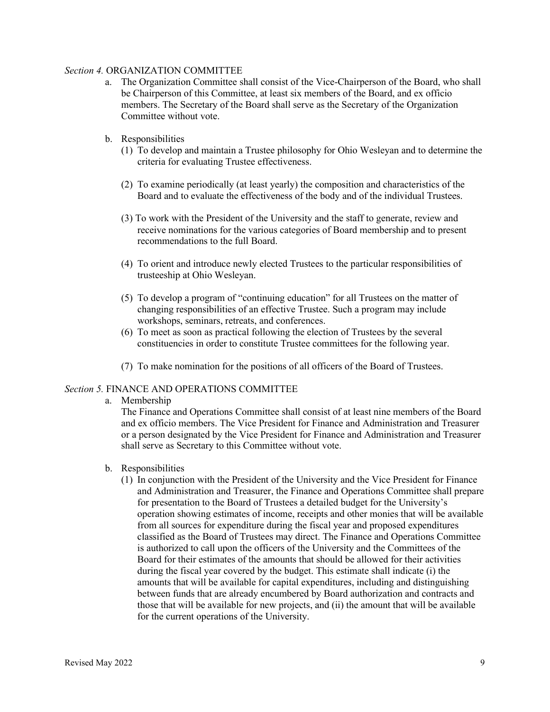#### *Section 4.* ORGANIZATION COMMITTEE

- a. The Organization Committee shall consist of the Vice-Chairperson of the Board, who shall be Chairperson of this Committee, at least six members of the Board, and ex officio members. The Secretary of the Board shall serve as the Secretary of the Organization Committee without vote.
- b. Responsibilities
	- (1) To develop and maintain a Trustee philosophy for Ohio Wesleyan and to determine the criteria for evaluating Trustee effectiveness.
	- (2) To examine periodically (at least yearly) the composition and characteristics of the Board and to evaluate the effectiveness of the body and of the individual Trustees.
	- (3) To work with the President of the University and the staff to generate, review and receive nominations for the various categories of Board membership and to present recommendations to the full Board.
	- (4) To orient and introduce newly elected Trustees to the particular responsibilities of trusteeship at Ohio Wesleyan.
	- (5) To develop a program of "continuing education" for all Trustees on the matter of changing responsibilities of an effective Trustee. Such a program may include workshops, seminars, retreats, and conferences.
	- (6) To meet as soon as practical following the election of Trustees by the several constituencies in order to constitute Trustee committees for the following year.
	- (7) To make nomination for the positions of all officers of the Board of Trustees.

#### *Section 5.* FINANCE AND OPERATIONS COMMITTEE

a. Membership

The Finance and Operations Committee shall consist of at least nine members of the Board and ex officio members. The Vice President for Finance and Administration and Treasurer or a person designated by the Vice President for Finance and Administration and Treasurer shall serve as Secretary to this Committee without vote.

- b. Responsibilities
	- (1) In conjunction with the President of the University and the Vice President for Finance and Administration and Treasurer, the Finance and Operations Committee shall prepare for presentation to the Board of Trustees a detailed budget for the University's operation showing estimates of income, receipts and other monies that will be available from all sources for expenditure during the fiscal year and proposed expenditures classified as the Board of Trustees may direct. The Finance and Operations Committee is authorized to call upon the officers of the University and the Committees of the Board for their estimates of the amounts that should be allowed for their activities during the fiscal year covered by the budget. This estimate shall indicate (i) the amounts that will be available for capital expenditures, including and distinguishing between funds that are already encumbered by Board authorization and contracts and those that will be available for new projects, and (ii) the amount that will be available for the current operations of the University.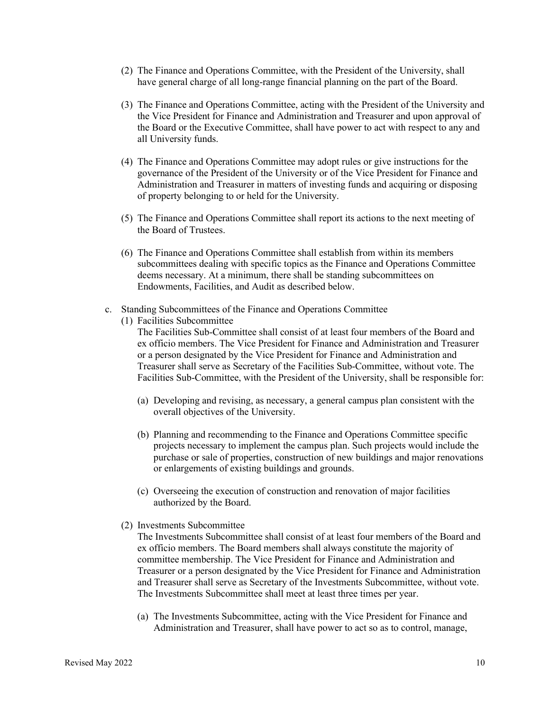- (2) The Finance and Operations Committee, with the President of the University, shall have general charge of all long-range financial planning on the part of the Board.
- (3) The Finance and Operations Committee, acting with the President of the University and the Vice President for Finance and Administration and Treasurer and upon approval of the Board or the Executive Committee, shall have power to act with respect to any and all University funds.
- (4) The Finance and Operations Committee may adopt rules or give instructions for the governance of the President of the University or of the Vice President for Finance and Administration and Treasurer in matters of investing funds and acquiring or disposing of property belonging to or held for the University.
- (5) The Finance and Operations Committee shall report its actions to the next meeting of the Board of Trustees.
- (6) The Finance and Operations Committee shall establish from within its members subcommittees dealing with specific topics as the Finance and Operations Committee deems necessary. At a minimum, there shall be standing subcommittees on Endowments, Facilities, and Audit as described below.
- c. Standing Subcommittees of the Finance and Operations Committee
	- (1) Facilities Subcommittee

The Facilities Sub-Committee shall consist of at least four members of the Board and ex officio members. The Vice President for Finance and Administration and Treasurer or a person designated by the Vice President for Finance and Administration and Treasurer shall serve as Secretary of the Facilities Sub-Committee, without vote. The Facilities Sub-Committee, with the President of the University, shall be responsible for:

- (a) Developing and revising, as necessary, a general campus plan consistent with the overall objectives of the University.
- (b) Planning and recommending to the Finance and Operations Committee specific projects necessary to implement the campus plan. Such projects would include the purchase or sale of properties, construction of new buildings and major renovations or enlargements of existing buildings and grounds.
- (c) Overseeing the execution of construction and renovation of major facilities authorized by the Board.
- (2) Investments Subcommittee

The Investments Subcommittee shall consist of at least four members of the Board and ex officio members. The Board members shall always constitute the majority of committee membership. The Vice President for Finance and Administration and Treasurer or a person designated by the Vice President for Finance and Administration and Treasurer shall serve as Secretary of the Investments Subcommittee, without vote. The Investments Subcommittee shall meet at least three times per year.

(a) The Investments Subcommittee, acting with the Vice President for Finance and Administration and Treasurer, shall have power to act so as to control, manage,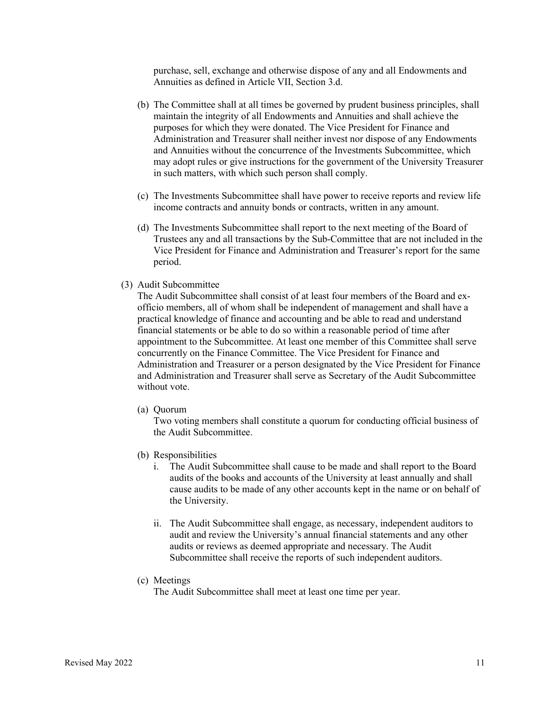purchase, sell, exchange and otherwise dispose of any and all Endowments and Annuities as defined in Article VII, Section 3.d.

- (b) The Committee shall at all times be governed by prudent business principles, shall maintain the integrity of all Endowments and Annuities and shall achieve the purposes for which they were donated. The Vice President for Finance and Administration and Treasurer shall neither invest nor dispose of any Endowments and Annuities without the concurrence of the Investments Subcommittee, which may adopt rules or give instructions for the government of the University Treasurer in such matters, with which such person shall comply.
- (c) The Investments Subcommittee shall have power to receive reports and review life income contracts and annuity bonds or contracts, written in any amount.
- (d) The Investments Subcommittee shall report to the next meeting of the Board of Trustees any and all transactions by the Sub-Committee that are not included in the Vice President for Finance and Administration and Treasurer's report for the same period.
- (3) Audit Subcommittee

The Audit Subcommittee shall consist of at least four members of the Board and exofficio members, all of whom shall be independent of management and shall have a practical knowledge of finance and accounting and be able to read and understand financial statements or be able to do so within a reasonable period of time after appointment to the Subcommittee. At least one member of this Committee shall serve concurrently on the Finance Committee. The Vice President for Finance and Administration and Treasurer or a person designated by the Vice President for Finance and Administration and Treasurer shall serve as Secretary of the Audit Subcommittee without vote.

(a) Quorum

Two voting members shall constitute a quorum for conducting official business of the Audit Subcommittee.

- (b) Responsibilities
	- i. The Audit Subcommittee shall cause to be made and shall report to the Board audits of the books and accounts of the University at least annually and shall cause audits to be made of any other accounts kept in the name or on behalf of the University.
	- ii. The Audit Subcommittee shall engage, as necessary, independent auditors to audit and review the University's annual financial statements and any other audits or reviews as deemed appropriate and necessary. The Audit Subcommittee shall receive the reports of such independent auditors.
- (c) Meetings

The Audit Subcommittee shall meet at least one time per year.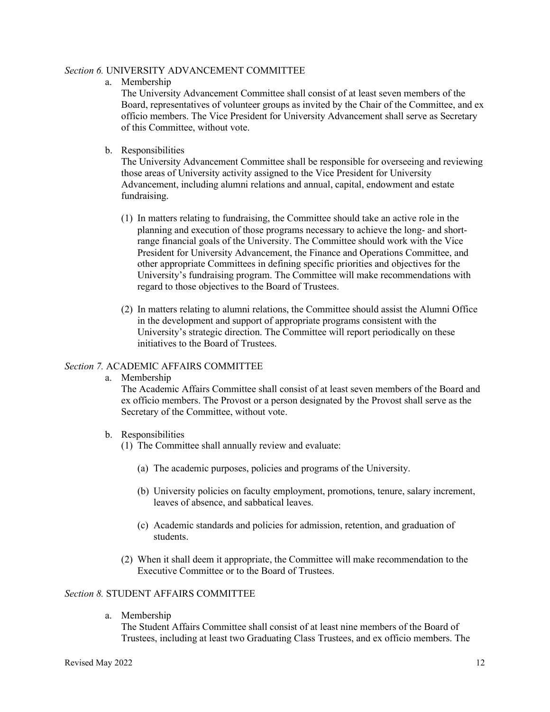#### *Section 6.* UNIVERSITY ADVANCEMENT COMMITTEE

a. Membership

The University Advancement Committee shall consist of at least seven members of the Board, representatives of volunteer groups as invited by the Chair of the Committee, and ex officio members. The Vice President for University Advancement shall serve as Secretary of this Committee, without vote.

b. Responsibilities

The University Advancement Committee shall be responsible for overseeing and reviewing those areas of University activity assigned to the Vice President for University Advancement, including alumni relations and annual, capital, endowment and estate fundraising.

- (1) In matters relating to fundraising, the Committee should take an active role in the planning and execution of those programs necessary to achieve the long- and shortrange financial goals of the University. The Committee should work with the Vice President for University Advancement, the Finance and Operations Committee, and other appropriate Committees in defining specific priorities and objectives for the University's fundraising program. The Committee will make recommendations with regard to those objectives to the Board of Trustees.
- (2) In matters relating to alumni relations, the Committee should assist the Alumni Office in the development and support of appropriate programs consistent with the University's strategic direction. The Committee will report periodically on these initiatives to the Board of Trustees.

# *Section 7.* ACADEMIC AFFAIRS COMMITTEE

a. Membership

The Academic Affairs Committee shall consist of at least seven members of the Board and ex officio members. The Provost or a person designated by the Provost shall serve as the Secretary of the Committee, without vote.

- b. Responsibilities
	- (1) The Committee shall annually review and evaluate:
		- (a) The academic purposes, policies and programs of the University.
		- (b) University policies on faculty employment, promotions, tenure, salary increment, leaves of absence, and sabbatical leaves.
		- (c) Academic standards and policies for admission, retention, and graduation of students.
	- (2) When it shall deem it appropriate, the Committee will make recommendation to the Executive Committee or to the Board of Trustees.

# *Section 8.* STUDENT AFFAIRS COMMITTEE

a. Membership

The Student Affairs Committee shall consist of at least nine members of the Board of Trustees, including at least two Graduating Class Trustees, and ex officio members. The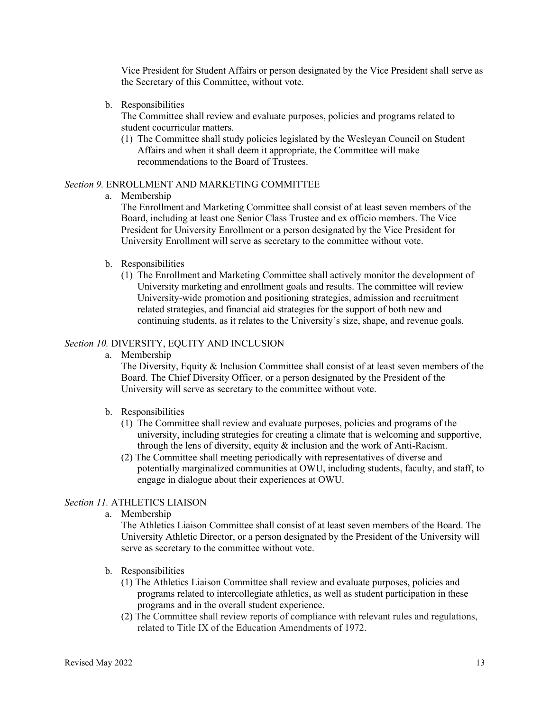Vice President for Student Affairs or person designated by the Vice President shall serve as the Secretary of this Committee, without vote.

b. Responsibilities

The Committee shall review and evaluate purposes, policies and programs related to student cocurricular matters.

(1) The Committee shall study policies legislated by the Wesleyan Council on Student Affairs and when it shall deem it appropriate, the Committee will make recommendations to the Board of Trustees.

#### *Section 9.* ENROLLMENT AND MARKETING COMMITTEE

a. Membership

The Enrollment and Marketing Committee shall consist of at least seven members of the Board, including at least one Senior Class Trustee and ex officio members. The Vice President for University Enrollment or a person designated by the Vice President for University Enrollment will serve as secretary to the committee without vote.

- b. Responsibilities
	- (1) The Enrollment and Marketing Committee shall actively monitor the development of University marketing and enrollment goals and results. The committee will review University-wide promotion and positioning strategies, admission and recruitment related strategies, and financial aid strategies for the support of both new and continuing students, as it relates to the University's size, shape, and revenue goals.

# *Section 10.* DIVERSITY, EQUITY AND INCLUSION

a. Membership

The Diversity, Equity & Inclusion Committee shall consist of at least seven members of the Board. The Chief Diversity Officer, or a person designated by the President of the University will serve as secretary to the committee without vote.

- b. Responsibilities
	- (1) The Committee shall review and evaluate purposes, policies and programs of the university, including strategies for creating a climate that is welcoming and supportive, through the lens of diversity, equity & inclusion and the work of Anti-Racism.
	- (2) The Committee shall meeting periodically with representatives of diverse and potentially marginalized communities at OWU, including students, faculty, and staff, to engage in dialogue about their experiences at OWU.

# *Section 11.* ATHLETICS LIAISON

a. Membership

The Athletics Liaison Committee shall consist of at least seven members of the Board. The University Athletic Director, or a person designated by the President of the University will serve as secretary to the committee without vote.

- b. Responsibilities
	- (1) The Athletics Liaison Committee shall review and evaluate purposes, policies and programs related to intercollegiate athletics, as well as student participation in these programs and in the overall student experience.
	- (2) The Committee shall review reports of compliance with relevant rules and regulations, related to Title IX of the Education Amendments of 1972.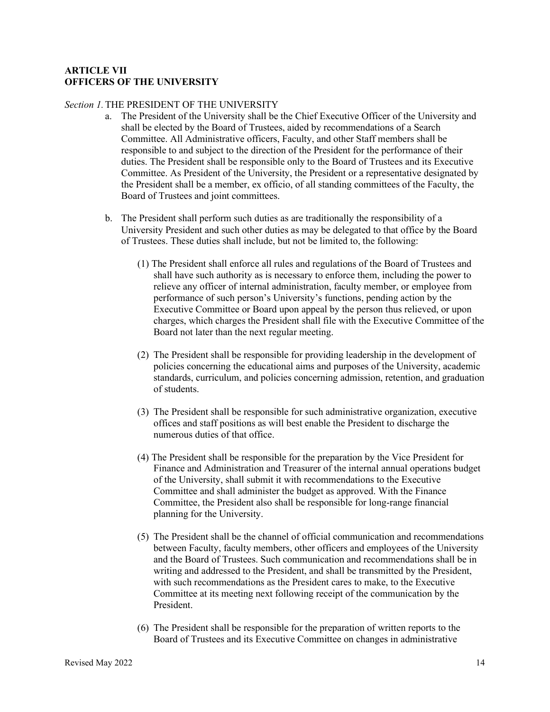### **ARTICLE VII OFFICERS OF THE UNIVERSITY**

### *Section 1.*THE PRESIDENT OF THE UNIVERSITY

- a. The President of the University shall be the Chief Executive Officer of the University and shall be elected by the Board of Trustees, aided by recommendations of a Search Committee. All Administrative officers, Faculty, and other Staff members shall be responsible to and subject to the direction of the President for the performance of their duties. The President shall be responsible only to the Board of Trustees and its Executive Committee. As President of the University, the President or a representative designated by the President shall be a member, ex officio, of all standing committees of the Faculty, the Board of Trustees and joint committees.
- b. The President shall perform such duties as are traditionally the responsibility of a University President and such other duties as may be delegated to that office by the Board of Trustees. These duties shall include, but not be limited to, the following:
	- (1) The President shall enforce all rules and regulations of the Board of Trustees and shall have such authority as is necessary to enforce them, including the power to relieve any officer of internal administration, faculty member, or employee from performance of such person's University's functions, pending action by the Executive Committee or Board upon appeal by the person thus relieved, or upon charges, which charges the President shall file with the Executive Committee of the Board not later than the next regular meeting.
	- (2) The President shall be responsible for providing leadership in the development of policies concerning the educational aims and purposes of the University, academic standards, curriculum, and policies concerning admission, retention, and graduation of students.
	- (3) The President shall be responsible for such administrative organization, executive offices and staff positions as will best enable the President to discharge the numerous duties of that office.
	- (4) The President shall be responsible for the preparation by the Vice President for Finance and Administration and Treasurer of the internal annual operations budget of the University, shall submit it with recommendations to the Executive Committee and shall administer the budget as approved. With the Finance Committee, the President also shall be responsible for long-range financial planning for the University.
	- (5) The President shall be the channel of official communication and recommendations between Faculty, faculty members, other officers and employees of the University and the Board of Trustees. Such communication and recommendations shall be in writing and addressed to the President, and shall be transmitted by the President, with such recommendations as the President cares to make, to the Executive Committee at its meeting next following receipt of the communication by the President.
	- (6) The President shall be responsible for the preparation of written reports to the Board of Trustees and its Executive Committee on changes in administrative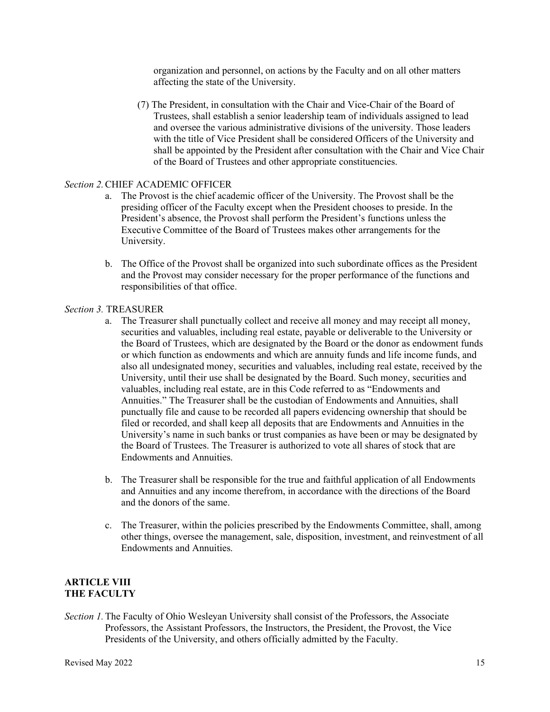organization and personnel, on actions by the Faculty and on all other matters affecting the state of the University.

(7) The President, in consultation with the Chair and Vice-Chair of the Board of Trustees, shall establish a senior leadership team of individuals assigned to lead and oversee the various administrative divisions of the university. Those leaders with the title of Vice President shall be considered Officers of the University and shall be appointed by the President after consultation with the Chair and Vice Chair of the Board of Trustees and other appropriate constituencies.

#### *Section 2.*CHIEF ACADEMIC OFFICER

- a. The Provost is the chief academic officer of the University. The Provost shall be the presiding officer of the Faculty except when the President chooses to preside. In the President's absence, the Provost shall perform the President's functions unless the Executive Committee of the Board of Trustees makes other arrangements for the University.
- b. The Office of the Provost shall be organized into such subordinate offices as the President and the Provost may consider necessary for the proper performance of the functions and responsibilities of that office.

#### *Section 3.* TREASURER

- a. The Treasurer shall punctually collect and receive all money and may receipt all money, securities and valuables, including real estate, payable or deliverable to the University or the Board of Trustees, which are designated by the Board or the donor as endowment funds or which function as endowments and which are annuity funds and life income funds, and also all undesignated money, securities and valuables, including real estate, received by the University, until their use shall be designated by the Board. Such money, securities and valuables, including real estate, are in this Code referred to as "Endowments and Annuities." The Treasurer shall be the custodian of Endowments and Annuities, shall punctually file and cause to be recorded all papers evidencing ownership that should be filed or recorded, and shall keep all deposits that are Endowments and Annuities in the University's name in such banks or trust companies as have been or may be designated by the Board of Trustees. The Treasurer is authorized to vote all shares of stock that are Endowments and Annuities.
- b. The Treasurer shall be responsible for the true and faithful application of all Endowments and Annuities and any income therefrom, in accordance with the directions of the Board and the donors of the same.
- c. The Treasurer, within the policies prescribed by the Endowments Committee, shall, among other things, oversee the management, sale, disposition, investment, and reinvestment of all Endowments and Annuities.

# **ARTICLE VIII THE FACULTY**

*Section 1.*The Faculty of Ohio Wesleyan University shall consist of the Professors, the Associate Professors, the Assistant Professors, the Instructors, the President, the Provost, the Vice Presidents of the University, and others officially admitted by the Faculty.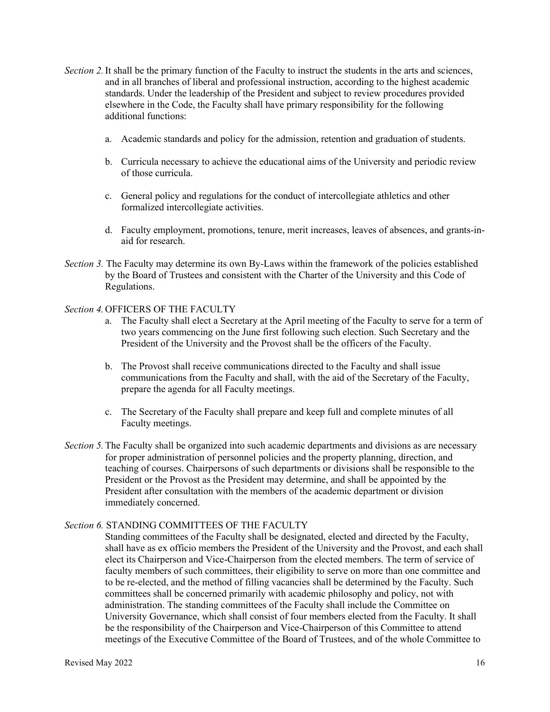- *Section 2.*It shall be the primary function of the Faculty to instruct the students in the arts and sciences, and in all branches of liberal and professional instruction, according to the highest academic standards. Under the leadership of the President and subject to review procedures provided elsewhere in the Code, the Faculty shall have primary responsibility for the following additional functions:
	- a. Academic standards and policy for the admission, retention and graduation of students.
	- b. Curricula necessary to achieve the educational aims of the University and periodic review of those curricula.
	- c. General policy and regulations for the conduct of intercollegiate athletics and other formalized intercollegiate activities.
	- d. Faculty employment, promotions, tenure, merit increases, leaves of absences, and grants-inaid for research.
- *Section 3.* The Faculty may determine its own By-Laws within the framework of the policies established by the Board of Trustees and consistent with the Charter of the University and this Code of Regulations.

#### *Section 4.*OFFICERS OF THE FACULTY

- a. The Faculty shall elect a Secretary at the April meeting of the Faculty to serve for a term of two years commencing on the June first following such election. Such Secretary and the President of the University and the Provost shall be the officers of the Faculty.
- b. The Provost shall receive communications directed to the Faculty and shall issue communications from the Faculty and shall, with the aid of the Secretary of the Faculty, prepare the agenda for all Faculty meetings.
- c. The Secretary of the Faculty shall prepare and keep full and complete minutes of all Faculty meetings.
- *Section 5.*The Faculty shall be organized into such academic departments and divisions as are necessary for proper administration of personnel policies and the property planning, direction, and teaching of courses. Chairpersons of such departments or divisions shall be responsible to the President or the Provost as the President may determine, and shall be appointed by the President after consultation with the members of the academic department or division immediately concerned.

#### *Section 6.* STANDING COMMITTEES OF THE FACULTY

Standing committees of the Faculty shall be designated, elected and directed by the Faculty, shall have as ex officio members the President of the University and the Provost, and each shall elect its Chairperson and Vice-Chairperson from the elected members. The term of service of faculty members of such committees, their eligibility to serve on more than one committee and to be re-elected, and the method of filling vacancies shall be determined by the Faculty. Such committees shall be concerned primarily with academic philosophy and policy, not with administration. The standing committees of the Faculty shall include the Committee on University Governance, which shall consist of four members elected from the Faculty. It shall be the responsibility of the Chairperson and Vice-Chairperson of this Committee to attend meetings of the Executive Committee of the Board of Trustees, and of the whole Committee to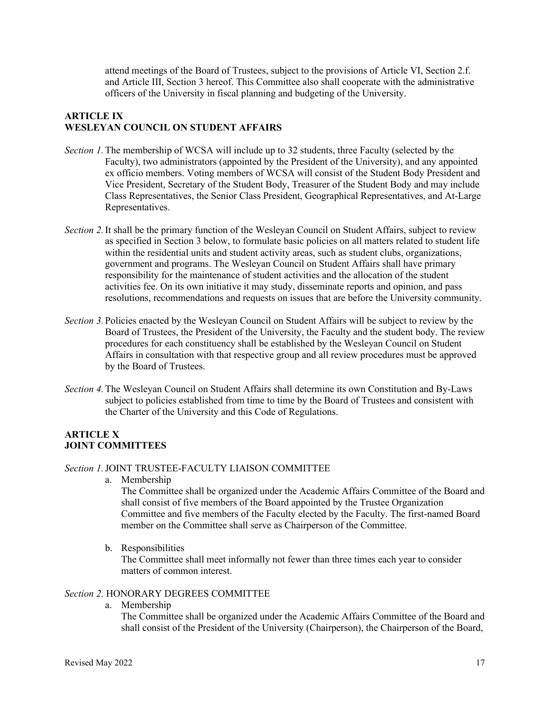attend meetings of the Board of Trustees, subject to the provisions of Article VI, Section 2.f. and Article III, Section 3 hereof. This Committee also shall cooperate with the administrative officers of the University in fiscal planning and budgeting of the University.

# **ARTICLE IX WESLEYAN COUNCIL ON STUDENT AFFAIRS**

- *Section 1.*The membership of WCSA will include up to 32 students, three Faculty (selected by the Faculty), two administrators (appointed by the President of the University), and any appointed ex officio members. Voting members of WCSA will consist of the Student Body President and Vice President, Secretary of the Student Body, Treasurer of the Student Body and may include Class Representatives, the Senior Class President, Geographical Representatives, and At-Large Representatives.
- *Section 2.* It shall be the primary function of the Wesleyan Council on Student Affairs, subject to review as specified in Section 3 below, to formulate basic policies on all matters related to student life within the residential units and student activity areas, such as student clubs, organizations, government and programs. The Wesleyan Council on Student Affairs shall have primary responsibility for the maintenance of student activities and the allocation of the student activities fee. On its own initiative it may study, disseminate reports and opinion, and pass resolutions, recommendations and requests on issues that are before the University community.
- *Section 3.*Policies enacted by the Wesleyan Council on Student Affairs will be subject to review by the Board of Trustees, the President of the University, the Faculty and the student body. The review procedures for each constituency shall be established by the Wesleyan Council on Student Affairs in consultation with that respective group and all review procedures must be approved by the Board of Trustees.
- *Section 4.*The Wesleyan Council on Student Affairs shall determine its own Constitution and By-Laws subject to policies established from time to time by the Board of Trustees and consistent with the Charter of the University and this Code of Regulations.

# **ARTICLE X JOINT COMMITTEES**

#### *Section 1.*JOINT TRUSTEE-FACULTY LIAISON COMMITTEE

a. Membership

The Committee shall be organized under the Academic Affairs Committee of the Board and shall consist of five members of the Board appointed by the Trustee Organization Committee and five members of the Faculty elected by the Faculty. The first-named Board member on the Committee shall serve as Chairperson of the Committee.

b. Responsibilities

The Committee shall meet informally not fewer than three times each year to consider matters of common interest.

#### *Section 2.* HONORARY DEGREES COMMITTEE

a. Membership

The Committee shall be organized under the Academic Affairs Committee of the Board and shall consist of the President of the University (Chairperson), the Chairperson of the Board,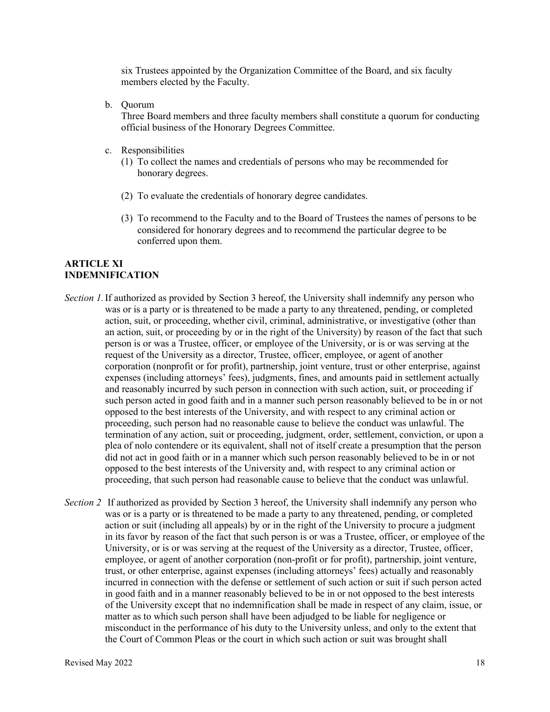six Trustees appointed by the Organization Committee of the Board, and six faculty members elected by the Faculty.

b. Quorum

Three Board members and three faculty members shall constitute a quorum for conducting official business of the Honorary Degrees Committee.

- c. Responsibilities
	- (1) To collect the names and credentials of persons who may be recommended for honorary degrees.
	- (2) To evaluate the credentials of honorary degree candidates.
	- (3) To recommend to the Faculty and to the Board of Trustees the names of persons to be considered for honorary degrees and to recommend the particular degree to be conferred upon them.

#### **ARTICLE XI INDEMNIFICATION**

- *Section 1.*If authorized as provided by Section 3 hereof, the University shall indemnify any person who was or is a party or is threatened to be made a party to any threatened, pending, or completed action, suit, or proceeding, whether civil, criminal, administrative, or investigative (other than an action, suit, or proceeding by or in the right of the University) by reason of the fact that such person is or was a Trustee, officer, or employee of the University, or is or was serving at the request of the University as a director, Trustee, officer, employee, or agent of another corporation (nonprofit or for profit), partnership, joint venture, trust or other enterprise, against expenses (including attorneys' fees), judgments, fines, and amounts paid in settlement actually and reasonably incurred by such person in connection with such action, suit, or proceeding if such person acted in good faith and in a manner such person reasonably believed to be in or not opposed to the best interests of the University, and with respect to any criminal action or proceeding, such person had no reasonable cause to believe the conduct was unlawful. The termination of any action, suit or proceeding, judgment, order, settlement, conviction, or upon a plea of nolo contendere or its equivalent, shall not of itself create a presumption that the person did not act in good faith or in a manner which such person reasonably believed to be in or not opposed to the best interests of the University and, with respect to any criminal action or proceeding, that such person had reasonable cause to believe that the conduct was unlawful.
- *Section 2* If authorized as provided by Section 3 hereof, the University shall indemnify any person who was or is a party or is threatened to be made a party to any threatened, pending, or completed action or suit (including all appeals) by or in the right of the University to procure a judgment in its favor by reason of the fact that such person is or was a Trustee, officer, or employee of the University, or is or was serving at the request of the University as a director, Trustee, officer, employee, or agent of another corporation (non-profit or for profit), partnership, joint venture, trust, or other enterprise, against expenses (including attorneys' fees) actually and reasonably incurred in connection with the defense or settlement of such action or suit if such person acted in good faith and in a manner reasonably believed to be in or not opposed to the best interests of the University except that no indemnification shall be made in respect of any claim, issue, or matter as to which such person shall have been adjudged to be liable for negligence or misconduct in the performance of his duty to the University unless, and only to the extent that the Court of Common Pleas or the court in which such action or suit was brought shall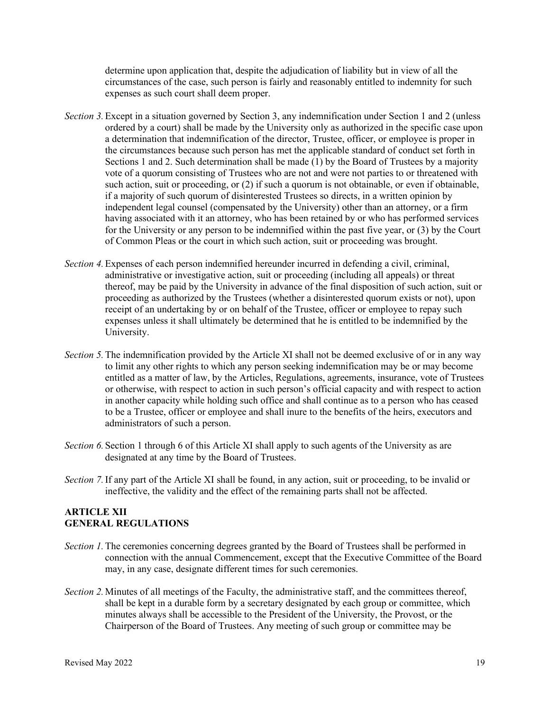determine upon application that, despite the adjudication of liability but in view of all the circumstances of the case, such person is fairly and reasonably entitled to indemnity for such expenses as such court shall deem proper.

- *Section 3.*Except in a situation governed by Section 3, any indemnification under Section 1 and 2 (unless ordered by a court) shall be made by the University only as authorized in the specific case upon a determination that indemnification of the director, Trustee, officer, or employee is proper in the circumstances because such person has met the applicable standard of conduct set forth in Sections 1 and 2. Such determination shall be made (1) by the Board of Trustees by a majority vote of a quorum consisting of Trustees who are not and were not parties to or threatened with such action, suit or proceeding, or (2) if such a quorum is not obtainable, or even if obtainable, if a majority of such quorum of disinterested Trustees so directs, in a written opinion by independent legal counsel (compensated by the University) other than an attorney, or a firm having associated with it an attorney, who has been retained by or who has performed services for the University or any person to be indemnified within the past five year, or (3) by the Court of Common Pleas or the court in which such action, suit or proceeding was brought.
- *Section 4.*Expenses of each person indemnified hereunder incurred in defending a civil, criminal, administrative or investigative action, suit or proceeding (including all appeals) or threat thereof, may be paid by the University in advance of the final disposition of such action, suit or proceeding as authorized by the Trustees (whether a disinterested quorum exists or not), upon receipt of an undertaking by or on behalf of the Trustee, officer or employee to repay such expenses unless it shall ultimately be determined that he is entitled to be indemnified by the University.
- *Section 5.*The indemnification provided by the Article XI shall not be deemed exclusive of or in any way to limit any other rights to which any person seeking indemnification may be or may become entitled as a matter of law, by the Articles, Regulations, agreements, insurance, vote of Trustees or otherwise, with respect to action in such person's official capacity and with respect to action in another capacity while holding such office and shall continue as to a person who has ceased to be a Trustee, officer or employee and shall inure to the benefits of the heirs, executors and administrators of such a person.
- *Section 6.*Section 1 through 6 of this Article XI shall apply to such agents of the University as are designated at any time by the Board of Trustees.
- *Section 7.*If any part of the Article XI shall be found, in any action, suit or proceeding, to be invalid or ineffective, the validity and the effect of the remaining parts shall not be affected.

# **ARTICLE XII GENERAL REGULATIONS**

- *Section 1.*The ceremonies concerning degrees granted by the Board of Trustees shall be performed in connection with the annual Commencement, except that the Executive Committee of the Board may, in any case, designate different times for such ceremonies.
- *Section 2.* Minutes of all meetings of the Faculty, the administrative staff, and the committees thereof, shall be kept in a durable form by a secretary designated by each group or committee, which minutes always shall be accessible to the President of the University, the Provost, or the Chairperson of the Board of Trustees. Any meeting of such group or committee may be